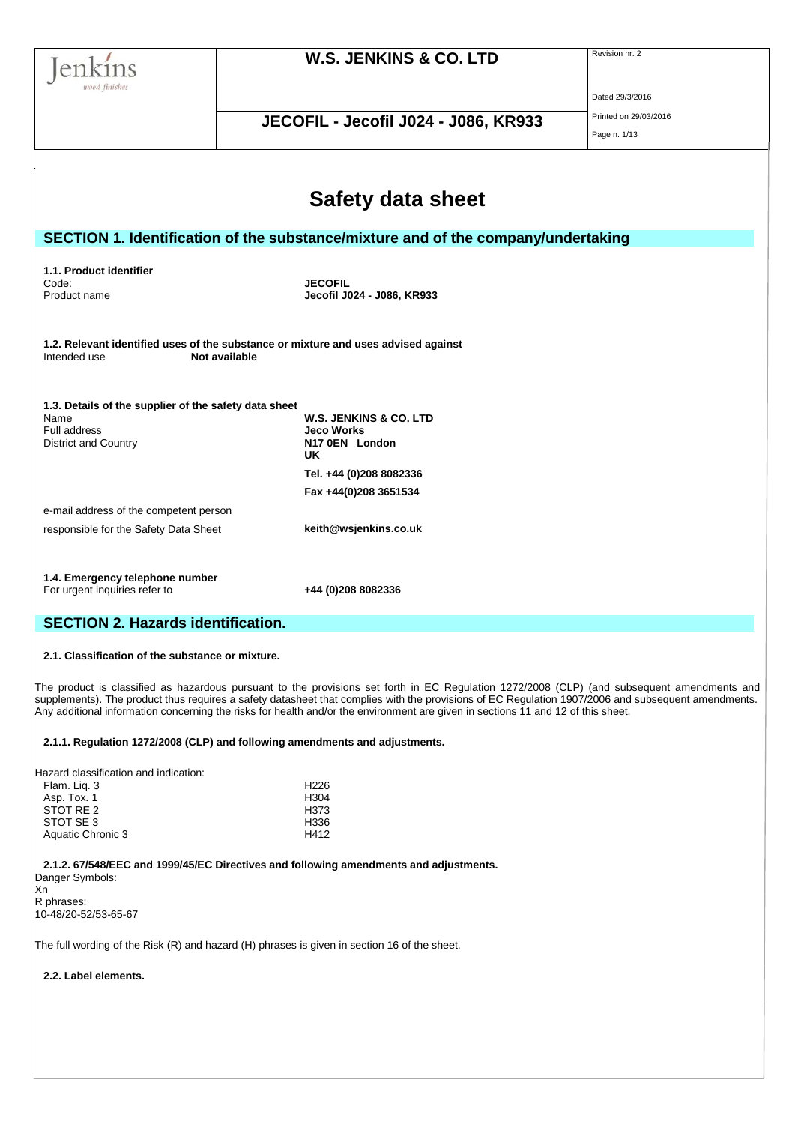|                                                                                                                            | <b>W.S. JENKINS &amp; CO. LTD</b>                                                 | Revision nr. 2        |  |  |  |  |
|----------------------------------------------------------------------------------------------------------------------------|-----------------------------------------------------------------------------------|-----------------------|--|--|--|--|
| wood finishes                                                                                                              |                                                                                   | Dated 29/3/2016       |  |  |  |  |
|                                                                                                                            | JECOFIL - Jecofil J024 - J086, KR933                                              | Printed on 29/03/2016 |  |  |  |  |
|                                                                                                                            |                                                                                   | Page n. 1/13          |  |  |  |  |
|                                                                                                                            |                                                                                   |                       |  |  |  |  |
|                                                                                                                            | <b>Safety data sheet</b>                                                          |                       |  |  |  |  |
|                                                                                                                            | SECTION 1. Identification of the substance/mixture and of the company/undertaking |                       |  |  |  |  |
| 1.1. Product identifier                                                                                                    |                                                                                   |                       |  |  |  |  |
| Code:                                                                                                                      | <b>JECOFIL</b>                                                                    |                       |  |  |  |  |
| Product name                                                                                                               | Jecofil J024 - J086, KR933                                                        |                       |  |  |  |  |
| 1.2. Relevant identified uses of the substance or mixture and uses advised against<br><b>Not available</b><br>Intended use |                                                                                   |                       |  |  |  |  |
|                                                                                                                            |                                                                                   |                       |  |  |  |  |
| 1.3. Details of the supplier of the safety data sheet<br>Name                                                              | <b>W.S. JENKINS &amp; CO. LTD</b>                                                 |                       |  |  |  |  |
| <b>Full address</b><br><b>District and Country</b>                                                                         | <b>Jeco Works</b><br>N <sub>17</sub> 0EN London                                   |                       |  |  |  |  |
|                                                                                                                            | UK.                                                                               |                       |  |  |  |  |
|                                                                                                                            | Tel. +44 (0)208 8082336                                                           |                       |  |  |  |  |
|                                                                                                                            | Fax +44(0)208 3651534                                                             |                       |  |  |  |  |
| e-mail address of the competent person                                                                                     |                                                                                   |                       |  |  |  |  |
| responsible for the Safety Data Sheet                                                                                      | keith@wsjenkins.co.uk                                                             |                       |  |  |  |  |
|                                                                                                                            |                                                                                   |                       |  |  |  |  |
| 1.4. Emergency telephone number                                                                                            |                                                                                   |                       |  |  |  |  |
| For urgent inquiries refer to                                                                                              | +44 (0)208 8082336                                                                |                       |  |  |  |  |
|                                                                                                                            |                                                                                   |                       |  |  |  |  |
| <b>SECTION 2. Hazards identification.</b>                                                                                  |                                                                                   |                       |  |  |  |  |
|                                                                                                                            |                                                                                   |                       |  |  |  |  |

## **2.1. Classification of the substance or mixture.**

The product is classified as hazardous pursuant to the provisions set forth in EC Regulation 1272/2008 (CLP) (and subsequent amendments and supplements). The product thus requires a safety datasheet that complies with the provisions of EC Regulation 1907/2006 and subsequent amendments. Any additional information concerning the risks for health and/or the environment are given in sections 11 and 12 of this sheet.

#### **2.1.1. Regulation 1272/2008 (CLP) and following amendments and adjustments.**

Hazard classification and indication:

| H <sub>226</sub> |
|------------------|
| H <sub>304</sub> |
| H373             |
| H336             |
| H412             |
|                  |

**2.1.2. 67/548/EEC and 1999/45/EC Directives and following amendments and adjustments.** Danger Symbols:

Xn R phrases: 10-48/20-52/53-65-67

The full wording of the Risk (R) and hazard (H) phrases is given in section 16 of the sheet.

**2.2. Label elements.**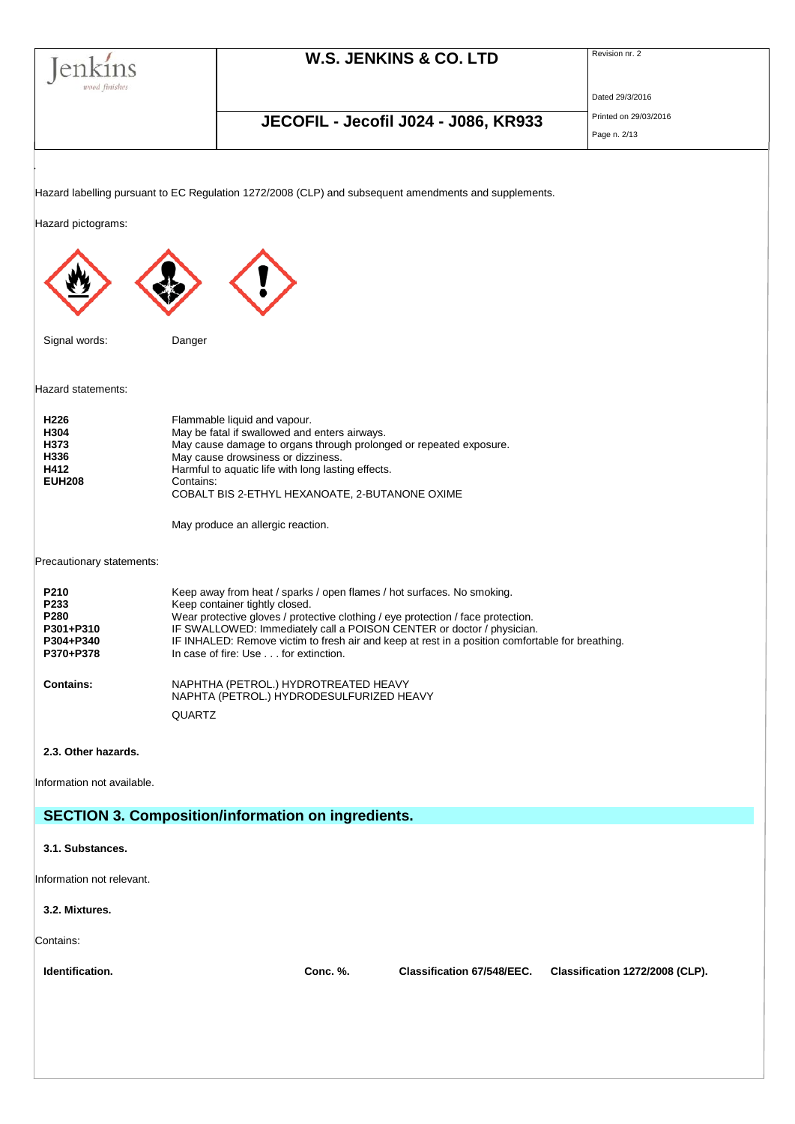|                                                                                                       |           |                                                                                                                                                                                           | <b>W.S. JENKINS &amp; CO. LTD</b>                                                                                                                                                                                                                             | Revision nr. 2        |
|-------------------------------------------------------------------------------------------------------|-----------|-------------------------------------------------------------------------------------------------------------------------------------------------------------------------------------------|---------------------------------------------------------------------------------------------------------------------------------------------------------------------------------------------------------------------------------------------------------------|-----------------------|
| wood finishes                                                                                         |           |                                                                                                                                                                                           |                                                                                                                                                                                                                                                               | Dated 29/3/2016       |
|                                                                                                       |           |                                                                                                                                                                                           | JECOFIL - Jecofil J024 - J086, KR933                                                                                                                                                                                                                          | Printed on 29/03/2016 |
|                                                                                                       |           |                                                                                                                                                                                           |                                                                                                                                                                                                                                                               | Page n. 2/13          |
| Hazard pictograms:<br>Signal words:<br>Hazard statements:<br>H <sub>226</sub><br>H304<br>H373<br>H336 | Danger    | Flammable liquid and vapour.<br>May be fatal if swallowed and enters airways.<br>May cause damage to organs through prolonged or repeated exposure.<br>May cause drowsiness or dizziness. | Hazard labelling pursuant to EC Regulation 1272/2008 (CLP) and subsequent amendments and supplements.                                                                                                                                                         |                       |
| H412<br><b>EUH208</b>                                                                                 | Contains: | Harmful to aquatic life with long lasting effects.<br>COBALT BIS 2-ETHYL HEXANOATE, 2-BUTANONE OXIME<br>May produce an allergic reaction.                                                 |                                                                                                                                                                                                                                                               |                       |
| Precautionary statements:                                                                             |           |                                                                                                                                                                                           |                                                                                                                                                                                                                                                               |                       |
| P210<br>P233<br>P280<br>P301+P310<br>P304+P340<br>P370+P378                                           |           | Keep away from heat / sparks / open flames / hot surfaces. No smoking.<br>Keep container tightly closed.<br>In case of fire: Use for extinction.                                          | Wear protective gloves / protective clothing / eye protection / face protection.<br>IF SWALLOWED: Immediately call a POISON CENTER or doctor / physician.<br>IF INHALED: Remove victim to fresh air and keep at rest in a position comfortable for breathing. |                       |
| <b>Contains:</b>                                                                                      | QUARTZ    | NAPHTHA (PETROL.) HYDROTREATED HEAVY<br>NAPHTA (PETROL.) HYDRODESULFURIZED HEAVY                                                                                                          |                                                                                                                                                                                                                                                               |                       |
| 2.3. Other hazards.                                                                                   |           |                                                                                                                                                                                           |                                                                                                                                                                                                                                                               |                       |
| Information not available.                                                                            |           | <b>SECTION 3. Composition/information on ingredients.</b>                                                                                                                                 |                                                                                                                                                                                                                                                               |                       |
|                                                                                                       |           |                                                                                                                                                                                           |                                                                                                                                                                                                                                                               |                       |
|                                                                                                       |           |                                                                                                                                                                                           |                                                                                                                                                                                                                                                               |                       |
|                                                                                                       |           |                                                                                                                                                                                           |                                                                                                                                                                                                                                                               |                       |
|                                                                                                       |           |                                                                                                                                                                                           |                                                                                                                                                                                                                                                               |                       |
| 3.1. Substances.<br>Information not relevant.<br>3.2. Mixtures.<br>Contains:                          |           |                                                                                                                                                                                           |                                                                                                                                                                                                                                                               |                       |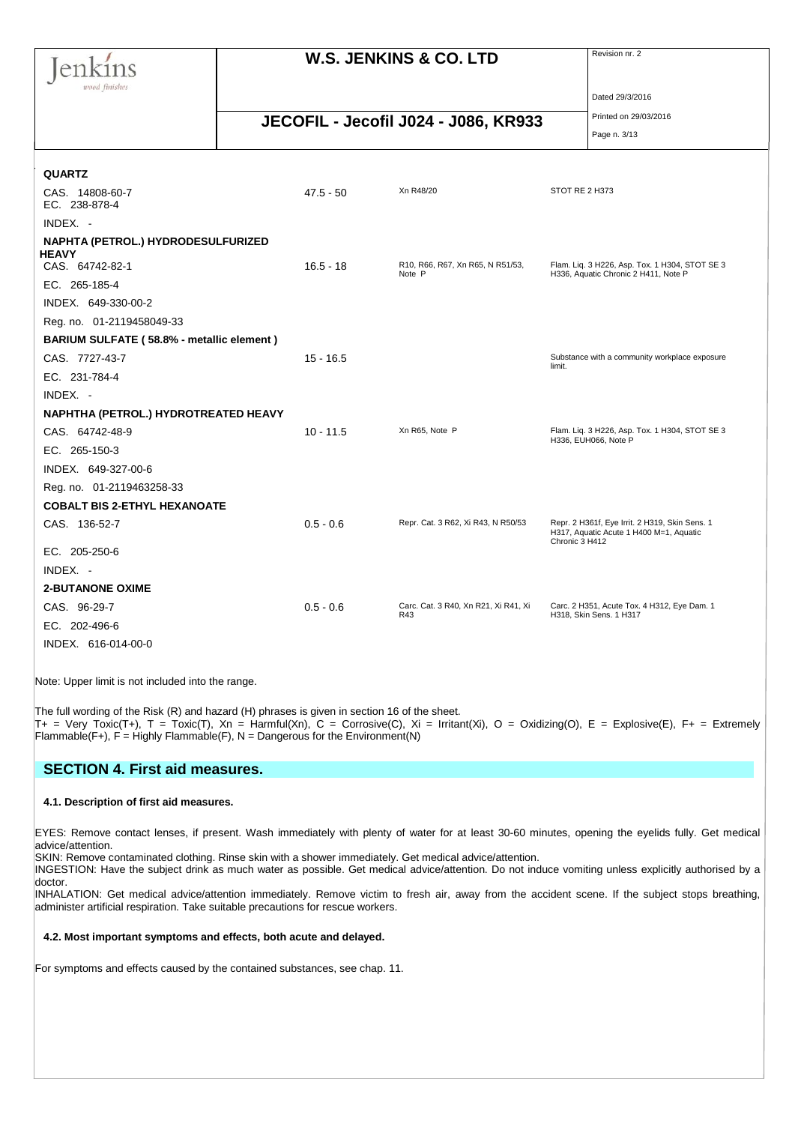| K I<br>UП. |          |
|------------|----------|
| ични       | - 111113 |

## **JECOFIL - Jecofil J024 - J086, KR933** Printed on 29/03/2016

Dated 29/3/2016

Page n. 3/13

| <b>QUARTZ</b><br>CAS. 14808-60-7                   | $47.5 - 50$ | Xn R48/20                                   | STOT RE 2 H373                                                                                              |
|----------------------------------------------------|-------------|---------------------------------------------|-------------------------------------------------------------------------------------------------------------|
| EC. 238-878-4                                      |             |                                             |                                                                                                             |
| $INDEX. -$                                         |             |                                             |                                                                                                             |
| NAPHTA (PETROL.) HYDRODESULFURIZED<br><b>HEAVY</b> |             |                                             |                                                                                                             |
| CAS. 64742-82-1                                    | $16.5 - 18$ | R10, R66, R67, Xn R65, N R51/53,<br>Note P  | Flam. Lig. 3 H226, Asp. Tox. 1 H304, STOT SE 3<br>H336, Aquatic Chronic 2 H411, Note P                      |
| EC. 265-185-4                                      |             |                                             |                                                                                                             |
| INDEX. 649-330-00-2                                |             |                                             |                                                                                                             |
| Reg. no. 01-2119458049-33                          |             |                                             |                                                                                                             |
| BARIUM SULFATE (58.8% - metallic element)          |             |                                             |                                                                                                             |
| CAS. 7727-43-7                                     | $15 - 16.5$ |                                             | Substance with a community workplace exposure<br>limit.                                                     |
| EC. 231-784-4                                      |             |                                             |                                                                                                             |
| $INDEX. -$                                         |             |                                             |                                                                                                             |
| NAPHTHA (PETROL.) HYDROTREATED HEAVY               |             |                                             |                                                                                                             |
| CAS. 64742-48-9                                    | $10 - 11.5$ | Xn R65, Note P                              | Flam. Liq. 3 H226, Asp. Tox. 1 H304, STOT SE 3<br>H336, EUH066, Note P                                      |
| EC. 265-150-3                                      |             |                                             |                                                                                                             |
| INDEX. 649-327-00-6                                |             |                                             |                                                                                                             |
| Reg. no. 01-2119463258-33                          |             |                                             |                                                                                                             |
| <b>COBALT BIS 2-ETHYL HEXANOATE</b>                |             |                                             |                                                                                                             |
| CAS. 136-52-7                                      | $0.5 - 0.6$ | Repr. Cat. 3 R62, Xi R43, N R50/53          | Repr. 2 H361f, Eye Irrit. 2 H319, Skin Sens. 1<br>H317, Aquatic Acute 1 H400 M=1, Aquatic<br>Chronic 3 H412 |
| EC. 205-250-6                                      |             |                                             |                                                                                                             |
| INDEX. -                                           |             |                                             |                                                                                                             |
| <b>2-BUTANONE OXIME</b>                            |             |                                             |                                                                                                             |
| CAS. 96-29-7                                       | $0.5 - 0.6$ | Carc. Cat. 3 R40, Xn R21, Xi R41, Xi<br>R43 | Carc. 2 H351, Acute Tox. 4 H312, Eye Dam. 1<br>H318, Skin Sens. 1 H317                                      |
| EC. 202-496-6                                      |             |                                             |                                                                                                             |
| INDEX. 616-014-00-0                                |             |                                             |                                                                                                             |

Note: Upper limit is not included into the range.

The full wording of the Risk (R) and hazard (H) phrases is given in section 16 of the sheet.  $T_+$  = Very Toxic(T+), T = Toxic(T), Xn = Harmful(Xn), C = Corrosive(C), Xi = Irritant(Xi), O = Oxidizing(O), E = Explosive(E), F+ = Extremely  $F$ lammable(F+),  $F = H$ ighly Flammable(F), N = Dangerous for the Environment(N)

## **SECTION 4. First aid measures.**

### **4.1. Description of first aid measures.**

EYES: Remove contact lenses, if present. Wash immediately with plenty of water for at least 30-60 minutes, opening the eyelids fully. Get medical advice/attention.

SKIN: Remove contaminated clothing. Rinse skin with a shower immediately. Get medical advice/attention.

INGESTION: Have the subject drink as much water as possible. Get medical advice/attention. Do not induce vomiting unless explicitly authorised by a doctor.

INHALATION: Get medical advice/attention immediately. Remove victim to fresh air, away from the accident scene. If the subject stops breathing, administer artificial respiration. Take suitable precautions for rescue workers.

## **4.2. Most important symptoms and effects, both acute and delayed.**

For symptoms and effects caused by the contained substances, see chap. 11.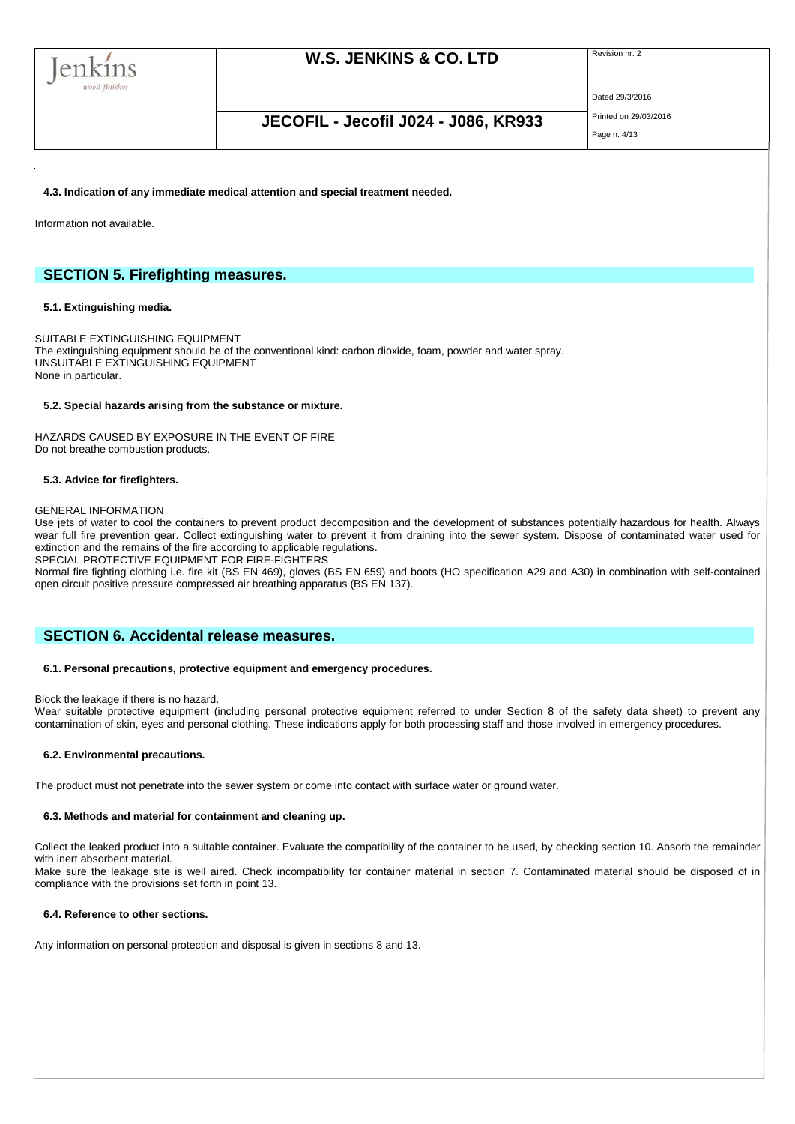

Dated 29/3/2016

**JECOFIL - Jecofil J024 - J086, KR933** Printed on 29/03/2016

Page n. 4/13

**4.3. Indication of any immediate medical attention and special treatment needed.**

Information not available.

## **SECTION 5. Firefighting measures.**

### **5.1. Extinguishing media.**

SUITABLE EXTINGUISHING EQUIPMENT The extinguishing equipment should be of the conventional kind: carbon dioxide, foam, powder and water spray. UNSUITABLE EXTINGUISHING EQUIPMENT None in particular.

### **5.2. Special hazards arising from the substance or mixture.**

HAZARDS CAUSED BY EXPOSURE IN THE EVENT OF FIRE Do not breathe combustion products.

### **5.3. Advice for firefighters.**

#### GENERAL INFORMATION

Use jets of water to cool the containers to prevent product decomposition and the development of substances potentially hazardous for health. Always wear full fire prevention gear. Collect extinguishing water to prevent it from draining into the sewer system. Dispose of contaminated water used for extinction and the remains of the fire according to applicable regulations.

SPECIAL PROTECTIVE EQUIPMENT FOR FIRE-FIGHTERS

Normal fire fighting clothing i.e. fire kit (BS EN 469), gloves (BS EN 659) and boots (HO specification A29 and A30) in combination with self-contained open circuit positive pressure compressed air breathing apparatus (BS EN 137).

## **SECTION 6. Accidental release measures.**

#### **6.1. Personal precautions, protective equipment and emergency procedures.**

#### Block the leakage if there is no hazard.

Wear suitable protective equipment (including personal protective equipment referred to under Section 8 of the safety data sheet) to prevent any contamination of skin, eyes and personal clothing. These indications apply for both processing staff and those involved in emergency procedures.

#### **6.2. Environmental precautions.**

The product must not penetrate into the sewer system or come into contact with surface water or ground water.

#### **6.3. Methods and material for containment and cleaning up.**

Collect the leaked product into a suitable container. Evaluate the compatibility of the container to be used, by checking section 10. Absorb the remainder with inert absorbent material.

Make sure the leakage site is well aired. Check incompatibility for container material in section 7. Contaminated material should be disposed of in compliance with the provisions set forth in point 13.

#### **6.4. Reference to other sections.**

Any information on personal protection and disposal is given in sections 8 and 13.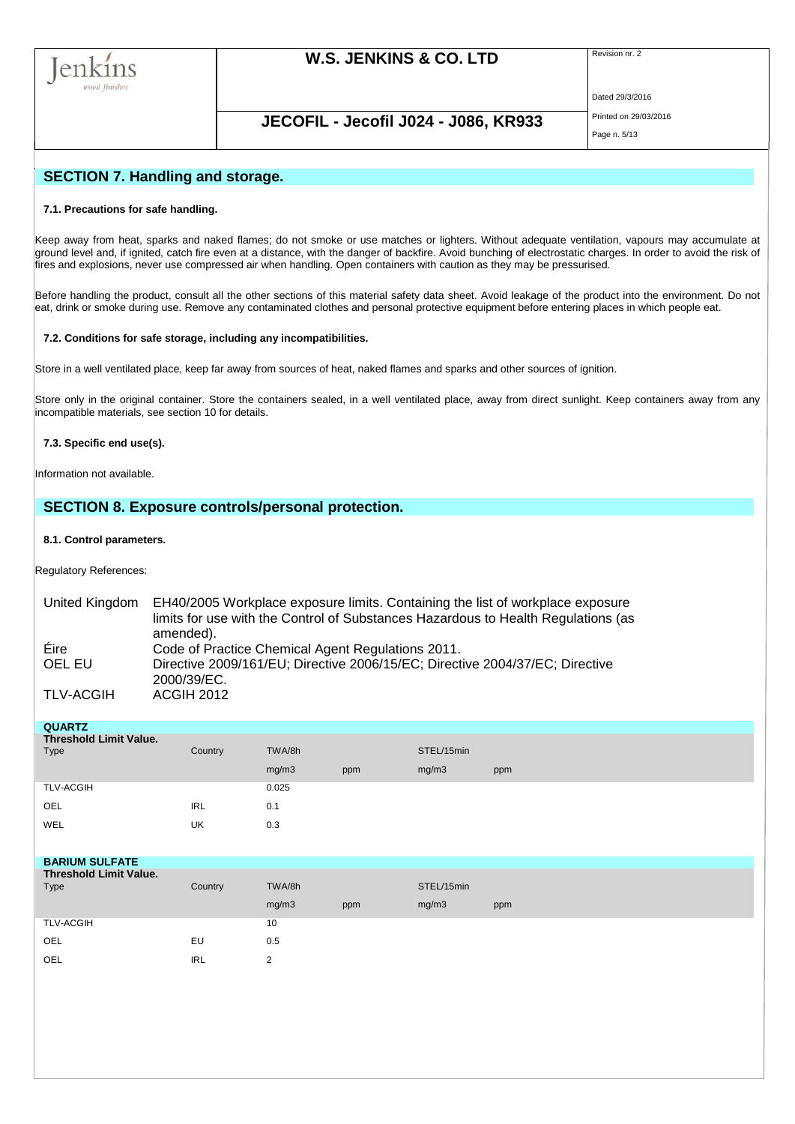

## **JECOFIL - Jecofil J024 - J086, KR933** Printed on 29/03/2016

Dated 29/3/2016

Page n. 5/13

## **SECTION 7. Handling and storage.**

#### **7.1. Precautions for safe handling.**

Keep away from heat, sparks and naked flames; do not smoke or use matches or lighters. Without adequate ventilation, vapours may accumulate at ground level and, if ignited, catch fire even at a distance, with the danger of backfire. Avoid bunching of electrostatic charges. In order to avoid the risk of fires and explosions, never use compressed air when handling. Open containers with caution as they may be pressurised.

Before handling the product, consult all the other sections of this material safety data sheet. Avoid leakage of the product into the environment. Do not eat, drink or smoke during use. Remove any contaminated clothes and personal protective equipment before entering places in which people eat.

#### **7.2. Conditions for safe storage, including any incompatibilities.**

Store in a well ventilated place, keep far away from sources of heat, naked flames and sparks and other sources of ignition.

Store only in the original container. Store the containers sealed, in a well ventilated place, away from direct sunlight. Keep containers away from any incompatible materials, see section 10 for details.

### **7.3. Specific end use(s).**

Information not available.

## **SECTION 8. Exposure controls/personal protection.**

#### **8.1. Control parameters.**

Regulatory References:

| United Kingdom | EH40/2005 Workplace exposure limits. Containing the list of workplace exposure    |
|----------------|-----------------------------------------------------------------------------------|
|                | limits for use with the Control of Substances Hazardous to Health Regulations (as |
|                | amended).                                                                         |
| Eire           | Code of Practice Chemical Agent Regulations 2011.                                 |
| OEL EU         | Directive 2009/161/EU; Directive 2006/15/EC; Directive 2004/37/EC; Directive      |
|                | 2000/39/EC.                                                                       |
| TLV-ACGIH      | <b>ACGIH 2012</b>                                                                 |

#### **QUARTZ**

| --------                      |            |        |     |            |     |
|-------------------------------|------------|--------|-----|------------|-----|
| <b>Threshold Limit Value.</b> |            |        |     |            |     |
| Type                          | Country    | TWA/8h |     | STEL/15min |     |
|                               |            | mg/m3  | ppm | mg/m3      | ppm |
| <b>TLV-ACGIH</b>              |            | 0.025  |     |            |     |
| OEL                           | <b>IRL</b> | 0.1    |     |            |     |
| WEL                           | UK         | 0.3    |     |            |     |
|                               |            |        |     |            |     |

## **BARIUM SULFATE**

| <b>Threshold Limit Value.</b> |            |          |     |            |     |  |
|-------------------------------|------------|----------|-----|------------|-----|--|
| Type                          | Country    | TWA/8h   |     | STEL/15min |     |  |
|                               |            | mg/m3    | ppm | mg/m3      | ppm |  |
| <b>TLV-ACGIH</b>              |            | 10       |     |            |     |  |
| OEL                           | EU         | 0.5      |     |            |     |  |
| OEL                           | <b>IRL</b> | $\Omega$ |     |            |     |  |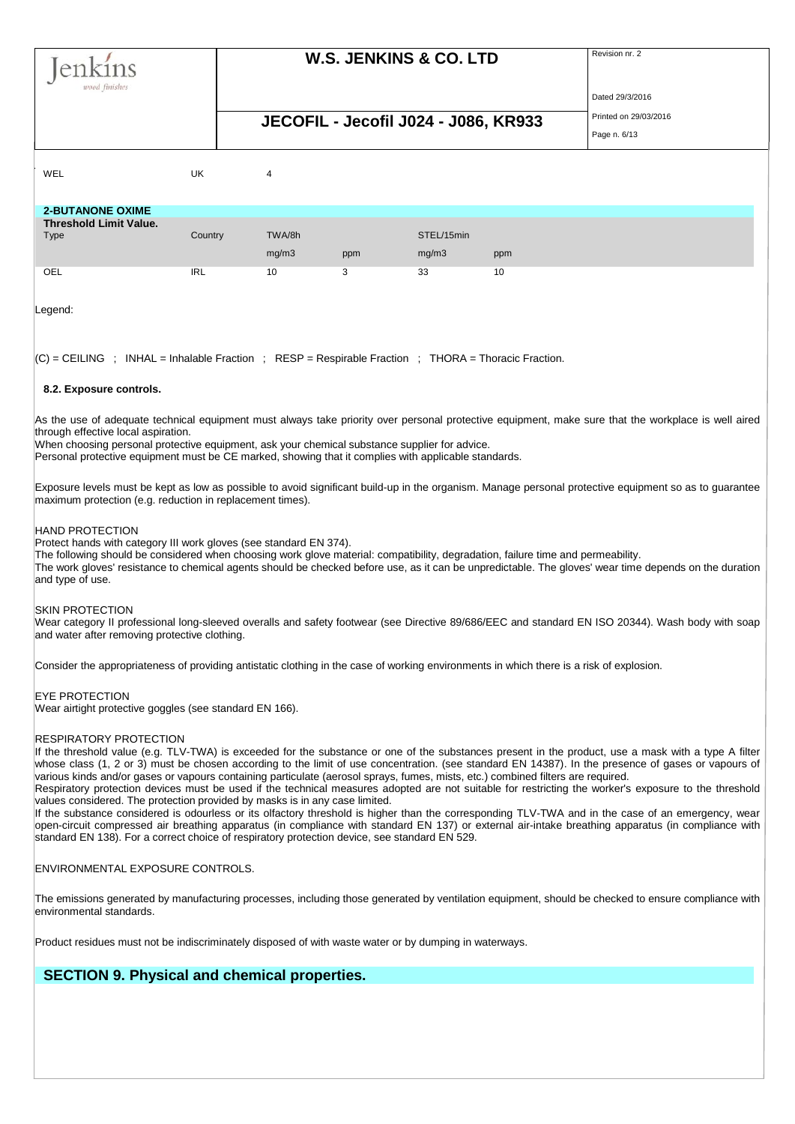| wood finishes                                                                                          |            |        |     | <b>W.S. JENKINS &amp; CO. LTD</b>    |     | Revision nr. 2                                                                                                                                      |
|--------------------------------------------------------------------------------------------------------|------------|--------|-----|--------------------------------------|-----|-----------------------------------------------------------------------------------------------------------------------------------------------------|
|                                                                                                        |            |        |     |                                      |     | Dated 29/3/2016                                                                                                                                     |
|                                                                                                        |            |        |     | JECOFIL - Jecofil J024 - J086, KR933 |     | Printed on 29/03/2016                                                                                                                               |
|                                                                                                        |            |        |     |                                      |     | Page n. 6/13                                                                                                                                        |
| WEL                                                                                                    | UK         | 4      |     |                                      |     |                                                                                                                                                     |
| <b>2-BUTANONE OXIME</b>                                                                                |            |        |     |                                      |     |                                                                                                                                                     |
| <b>Threshold Limit Value.</b>                                                                          |            | TWA/8h |     | STEL/15min                           |     |                                                                                                                                                     |
| Type                                                                                                   | Country    |        |     |                                      |     |                                                                                                                                                     |
|                                                                                                        |            | mg/m3  | ppm | mg/m3                                | ppm |                                                                                                                                                     |
| OEL                                                                                                    | <b>IRL</b> | 10     | 3   | 33                                   | 10  |                                                                                                                                                     |
| Legend:                                                                                                |            |        |     |                                      |     |                                                                                                                                                     |
| $ C $ = CEILING ; INHAL = Inhalable Fraction ; RESP = Respirable Fraction ; THORA = Thoracic Fraction. |            |        |     |                                      |     |                                                                                                                                                     |
| 8.2. Exposure controls.                                                                                |            |        |     |                                      |     |                                                                                                                                                     |
| through effective local aspiration.                                                                    |            |        |     |                                      |     | As the use of adequate technical equipment must always take priority over personal protective equipment, make sure that the workplace is well aired |

When choosing personal protective equipment, ask your chemical substance supplier for advice.

Personal protective equipment must be CE marked, showing that it complies with applicable standards.

Exposure levels must be kept as low as possible to avoid significant build-up in the organism. Manage personal protective equipment so as to guarantee maximum protection (e.g. reduction in replacement times).

#### HAND PROTECTION

Protect hands with category III work gloves (see standard EN 374).

The following should be considered when choosing work glove material: compatibility, degradation, failure time and permeability. The work gloves' resistance to chemical agents should be checked before use, as it can be unpredictable. The gloves' wear time depends on the duration and type of use.

#### SKIN PROTECTION

Wear category II professional long-sleeved overalls and safety footwear (see Directive 89/686/EEC and standard EN ISO 20344). Wash body with soap and water after removing protective clothing.

Consider the appropriateness of providing antistatic clothing in the case of working environments in which there is a risk of explosion.

### EYE PROTECTION

Wear airtight protective goggles (see standard EN 166).

#### RESPIRATORY PROTECTION

If the threshold value (e.g. TLV-TWA) is exceeded for the substance or one of the substances present in the product, use a mask with a type A filter whose class (1, 2 or 3) must be chosen according to the limit of use concentration. (see standard EN 14387). In the presence of gases or vapours of various kinds and/or gases or vapours containing particulate (aerosol sprays, fumes, mists, etc.) combined filters are required.

Respiratory protection devices must be used if the technical measures adopted are not suitable for restricting the worker's exposure to the threshold values considered. The protection provided by masks is in any case limited.

If the substance considered is odourless or its olfactory threshold is higher than the corresponding TLV-TWA and in the case of an emergency, wear open-circuit compressed air breathing apparatus (in compliance with standard EN 137) or external air-intake breathing apparatus (in compliance with standard EN 138). For a correct choice of respiratory protection device, see standard EN 529.

ENVIRONMENTAL EXPOSURE CONTROLS.

The emissions generated by manufacturing processes, including those generated by ventilation equipment, should be checked to ensure compliance with environmental standards.

Product residues must not be indiscriminately disposed of with waste water or by dumping in waterways.

## **SECTION 9. Physical and chemical properties.**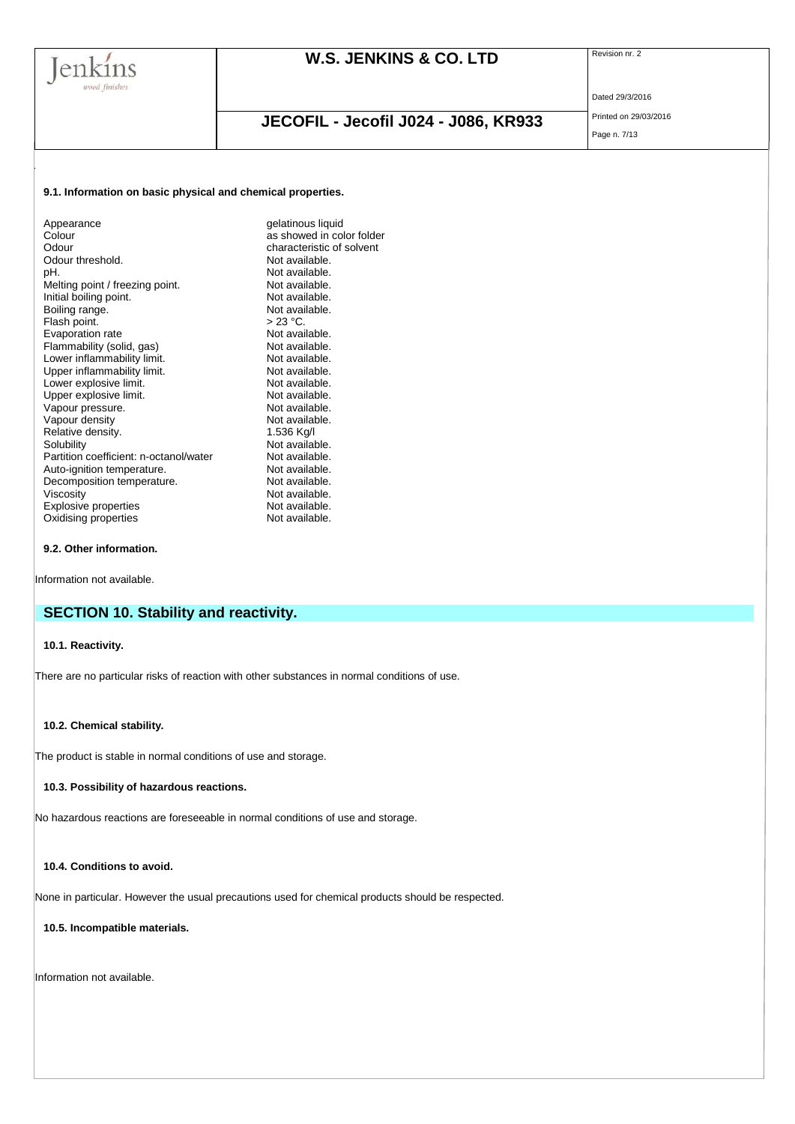

## **JECOFIL - Jecofil J024 - J086, KR933** Printed on 29/03/2016

Dated 29/3/2016

Page n. 7/13

### **9.1. Information on basic physical and chemical properties.**

| Appearance                             | gelatinous liquid         |
|----------------------------------------|---------------------------|
| Colour                                 | as showed in color folder |
| Odour                                  | characteristic of solvent |
| Odour threshold.                       | Not available.            |
| pH.                                    | Not available.            |
| Melting point / freezing point.        | Not available.            |
| Initial boiling point.                 | Not available.            |
| Boiling range.                         | Not available.            |
| Flash point.                           | $>23$ °C.                 |
| Evaporation rate                       | Not available.            |
| Flammability (solid, gas)              | Not available.            |
| Lower inflammability limit.            | Not available.            |
| Upper inflammability limit.            | Not available.            |
| Lower explosive limit.                 | Not available.            |
| Upper explosive limit.                 | Not available.            |
| Vapour pressure.                       | Not available.            |
| Vapour density                         | Not available.            |
| Relative density.                      | 1.536 Kg/I                |
| Solubility                             | Not available.            |
| Partition coefficient: n-octanol/water | Not available.            |
| Auto-ignition temperature.             | Not available.            |
| Decomposition temperature.             | Not available.            |
| Viscosity                              | Not available.            |
| <b>Explosive properties</b>            | Not available.            |
| Oxidising properties                   | Not available.            |
|                                        |                           |

## **9.2. Other information.**

Information not available.

## **SECTION 10. Stability and reactivity.**

#### **10.1. Reactivity.**

There are no particular risks of reaction with other substances in normal conditions of use.

### **10.2. Chemical stability.**

The product is stable in normal conditions of use and storage.

## **10.3. Possibility of hazardous reactions.**

No hazardous reactions are foreseeable in normal conditions of use and storage.

## **10.4. Conditions to avoid.**

None in particular. However the usual precautions used for chemical products should be respected.

## **10.5. Incompatible materials.**

Information not available.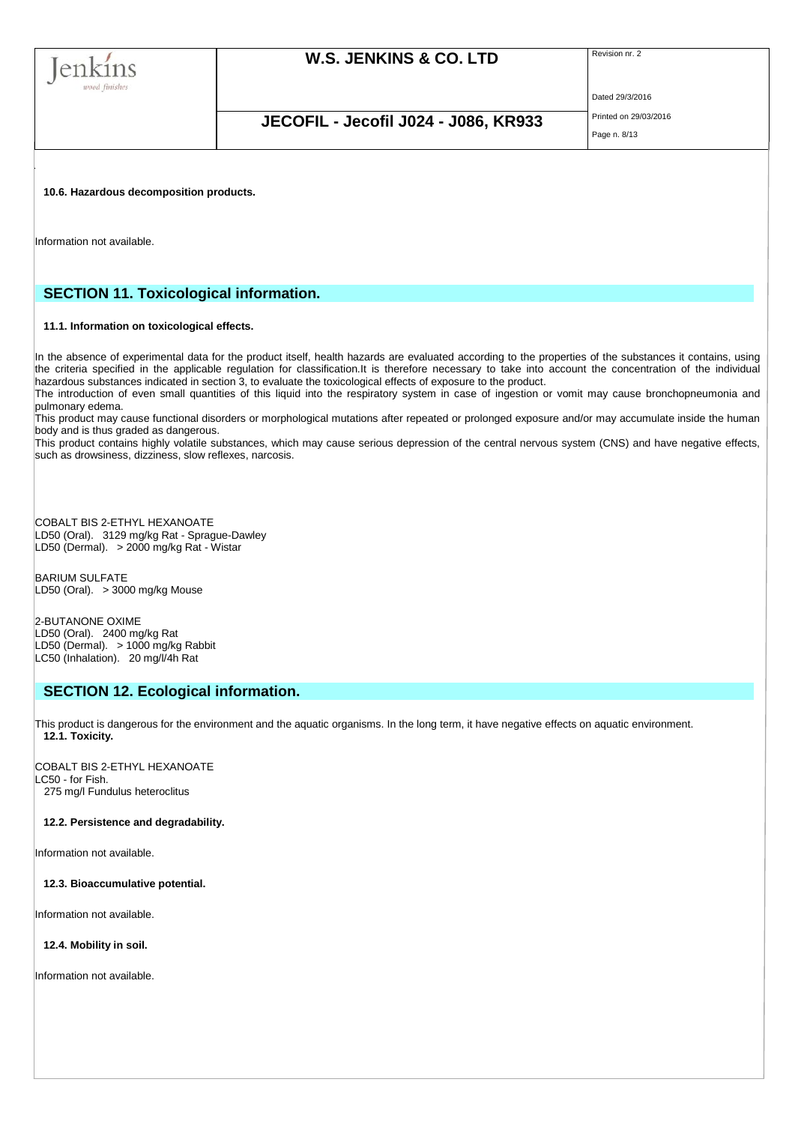

## **JECOFIL - Jecofil J024 - J086, KR933** Printed on 29/03/2016

Dated 29/3/2016

Page n. 8/13

**10.6. Hazardous decomposition products.**

Information not available.

## **SECTION 11. Toxicological information.**

### **11.1. Information on toxicological effects.**

In the absence of experimental data for the product itself, health hazards are evaluated according to the properties of the substances it contains, using the criteria specified in the applicable regulation for classification.It is therefore necessary to take into account the concentration of the individual hazardous substances indicated in section 3, to evaluate the toxicological effects of exposure to the product.

The introduction of even small quantities of this liquid into the respiratory system in case of ingestion or vomit may cause bronchopneumonia and pulmonary edema.

This product may cause functional disorders or morphological mutations after repeated or prolonged exposure and/or may accumulate inside the human body and is thus graded as dangerous.

This product contains highly volatile substances, which may cause serious depression of the central nervous system (CNS) and have negative effects, such as drowsiness, dizziness, slow reflexes, narcosis.

COBALT BIS 2-ETHYL HEXANOATE LD50 (Oral). 3129 mg/kg Rat - Sprague-Dawley LD50 (Dermal). > 2000 mg/kg Rat - Wistar

BARIUM SULFATE LD50 (Oral). > 3000 mg/kg Mouse

2-BUTANONE OXIME LD50 (Oral). 2400 mg/kg Rat LD50 (Dermal). > 1000 mg/kg Rabbit LC50 (Inhalation). 20 mg/l/4h Rat

### **SECTION 12. Ecological information.**

This product is dangerous for the environment and the aquatic organisms. In the long term, it have negative effects on aquatic environment. **12.1. Toxicity.**

COBALT BIS 2-ETHYL HEXANOATE LC50 - for Fish. 275 mg/l Fundulus heteroclitus

#### **12.2. Persistence and degradability.**

Information not available.

**12.3. Bioaccumulative potential.**

Information not available.

**12.4. Mobility in soil.**

Information not available.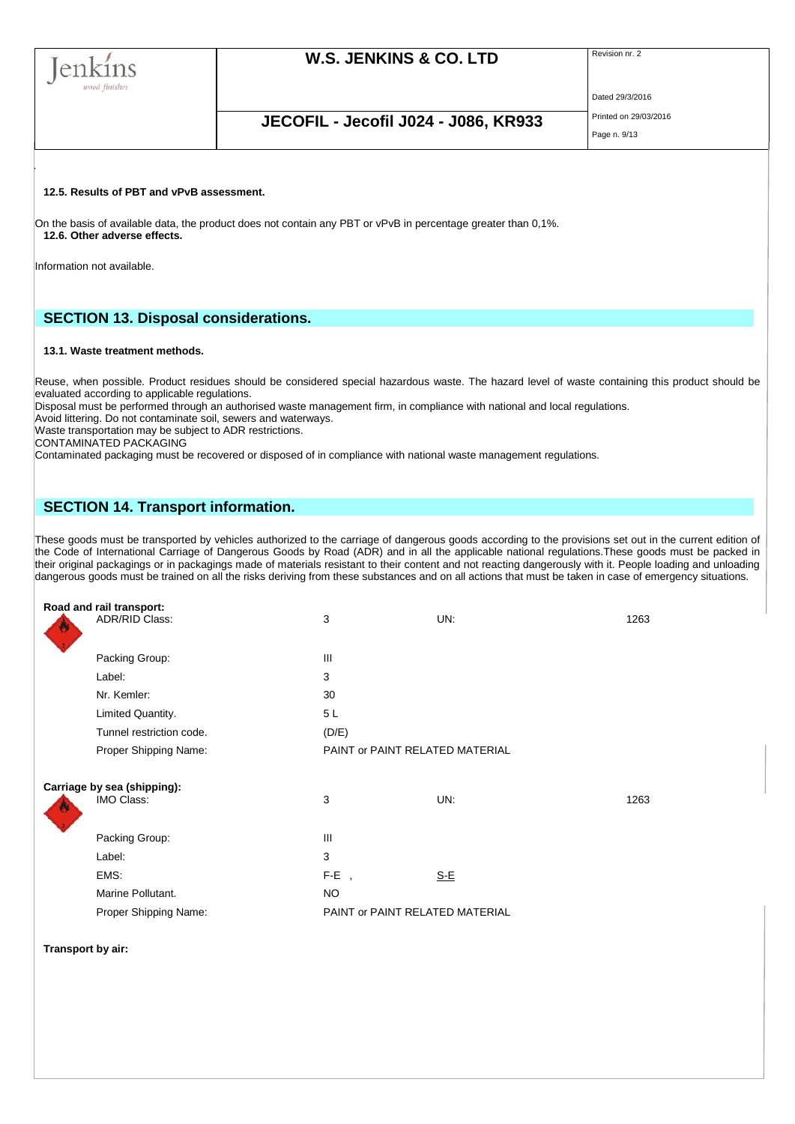

## **JECOFIL - Jecofil J024 - J086, KR933** Printed on 29/03/2016

Dated 29/3/2016

Page n. 9/13

### **12.5. Results of PBT and vPvB assessment.**

On the basis of available data, the product does not contain any PBT or vPvB in percentage greater than 0,1%. **12.6. Other adverse effects.**

Information not available.

## **SECTION 13. Disposal considerations.**

### **13.1. Waste treatment methods.**

Reuse, when possible. Product residues should be considered special hazardous waste. The hazard level of waste containing this product should be evaluated according to applicable regulations.

Disposal must be performed through an authorised waste management firm, in compliance with national and local regulations.

Avoid littering. Do not contaminate soil, sewers and waterways.

Waste transportation may be subject to ADR restrictions.

CONTAMINATED PACKAGING

Contaminated packaging must be recovered or disposed of in compliance with national waste management regulations.

## **SECTION 14. Transport information.**

These goods must be transported by vehicles authorized to the carriage of dangerous goods according to the provisions set out in the current edition of the Code of International Carriage of Dangerous Goods by Road (ADR) and in all the applicable national regulations.These goods must be packed in their original packagings or in packagings made of materials resistant to their content and not reacting dangerously with it. People loading and unloading dangerous goods must be trained on all the risks deriving from these substances and on all actions that must be taken in case of emergency situations.

| Road and rail transport:<br><b>ADR/RID Class:</b> | 3                               | UN:   | 1263 |
|---------------------------------------------------|---------------------------------|-------|------|
|                                                   |                                 |       |      |
| Packing Group:                                    | III                             |       |      |
| Label:                                            | 3                               |       |      |
| Nr. Kemler:                                       | 30                              |       |      |
| Limited Quantity.                                 | 5L                              |       |      |
| Tunnel restriction code.                          | (D/E)                           |       |      |
| Proper Shipping Name:                             | PAINT or PAINT RELATED MATERIAL |       |      |
|                                                   |                                 |       |      |
| Carriage by sea (shipping):                       |                                 |       |      |
| IMO Class:                                        | 3                               | UN:   | 1263 |
| Packing Group:                                    | III                             |       |      |
| Label:                                            | 3                               |       |      |
| EMS:                                              | $F-E$ ,                         | $S-E$ |      |
| Marine Pollutant.                                 | <b>NO</b>                       |       |      |
| Proper Shipping Name:                             | PAINT or PAINT RELATED MATERIAL |       |      |

#### **Transport by air:**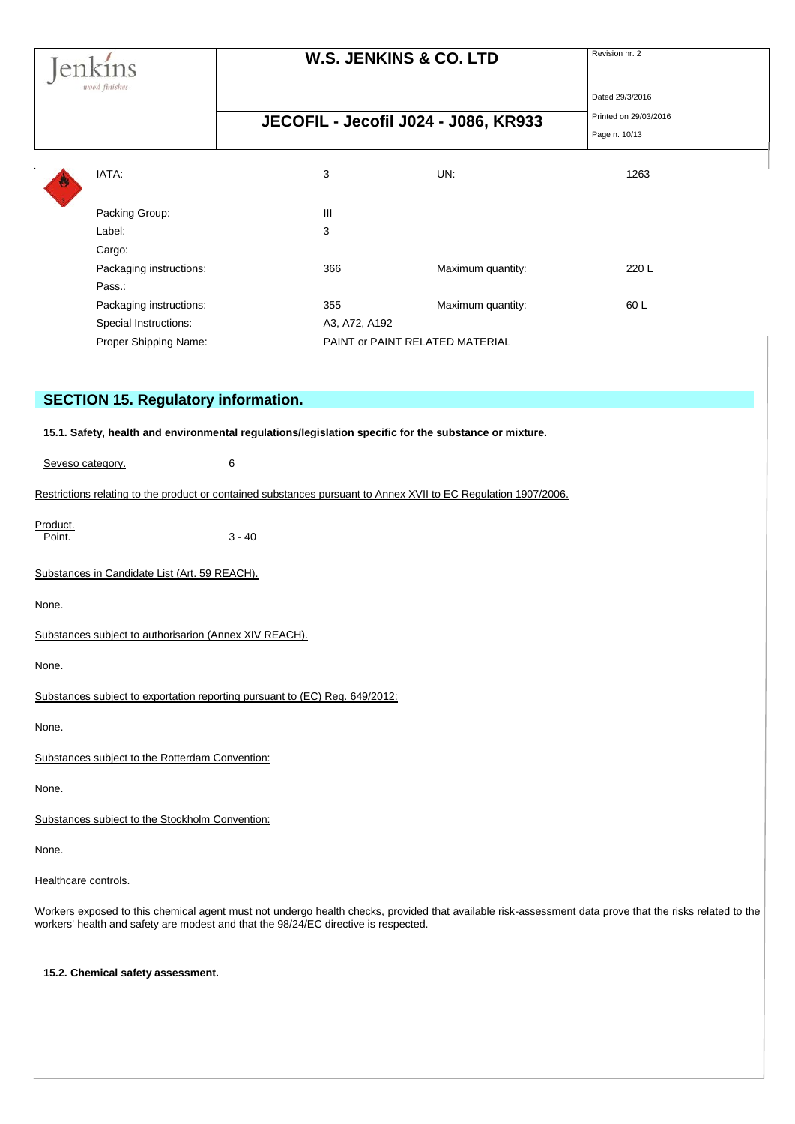| wood finishes        |                                                        |                                                                                     | <b>W.S. JENKINS &amp; CO. LTD</b>                                                                               | Revision nr. 2                                                                                                                                          |
|----------------------|--------------------------------------------------------|-------------------------------------------------------------------------------------|-----------------------------------------------------------------------------------------------------------------|---------------------------------------------------------------------------------------------------------------------------------------------------------|
|                      |                                                        |                                                                                     |                                                                                                                 | Dated 29/3/2016                                                                                                                                         |
|                      |                                                        |                                                                                     | JECOFIL - Jecofil J024 - J086, KR933                                                                            | Printed on 29/03/2016                                                                                                                                   |
|                      |                                                        |                                                                                     |                                                                                                                 | Page n. 10/13                                                                                                                                           |
|                      | IATA:                                                  | 3                                                                                   | UN:                                                                                                             | 1263                                                                                                                                                    |
|                      | Packing Group:                                         | Ш                                                                                   |                                                                                                                 |                                                                                                                                                         |
|                      | Label:                                                 | 3                                                                                   |                                                                                                                 |                                                                                                                                                         |
|                      | Cargo:<br>Packaging instructions:                      | 366                                                                                 | Maximum quantity:                                                                                               | 220 L                                                                                                                                                   |
|                      | Pass.:                                                 |                                                                                     |                                                                                                                 |                                                                                                                                                         |
|                      | Packaging instructions:                                | 355                                                                                 | Maximum quantity:                                                                                               | 60L                                                                                                                                                     |
|                      | Special Instructions:                                  | A3, A72, A192                                                                       |                                                                                                                 |                                                                                                                                                         |
|                      | Proper Shipping Name:                                  |                                                                                     | PAINT or PAINT RELATED MATERIAL                                                                                 |                                                                                                                                                         |
|                      |                                                        |                                                                                     |                                                                                                                 |                                                                                                                                                         |
|                      | <b>SECTION 15. Regulatory information.</b>             |                                                                                     |                                                                                                                 |                                                                                                                                                         |
|                      |                                                        |                                                                                     |                                                                                                                 |                                                                                                                                                         |
|                      |                                                        |                                                                                     | 15.1. Safety, health and environmental regulations/legislation specific for the substance or mixture.           |                                                                                                                                                         |
| Seveso category.     |                                                        | 6                                                                                   |                                                                                                                 |                                                                                                                                                         |
|                      |                                                        |                                                                                     | Restrictions relating to the product or contained substances pursuant to Annex XVII to EC Regulation 1907/2006. |                                                                                                                                                         |
|                      |                                                        |                                                                                     |                                                                                                                 |                                                                                                                                                         |
| Product.<br>Point.   |                                                        | $3 - 40$                                                                            |                                                                                                                 |                                                                                                                                                         |
|                      |                                                        |                                                                                     |                                                                                                                 |                                                                                                                                                         |
|                      | Substances in Candidate List (Art. 59 REACH).          |                                                                                     |                                                                                                                 |                                                                                                                                                         |
| None.                |                                                        |                                                                                     |                                                                                                                 |                                                                                                                                                         |
|                      | Substances subject to authorisarion (Annex XIV REACH). |                                                                                     |                                                                                                                 |                                                                                                                                                         |
|                      |                                                        |                                                                                     |                                                                                                                 |                                                                                                                                                         |
| None.                |                                                        |                                                                                     |                                                                                                                 |                                                                                                                                                         |
|                      |                                                        | Substances subject to exportation reporting pursuant to (EC) Reg. 649/2012:         |                                                                                                                 |                                                                                                                                                         |
| None.                |                                                        |                                                                                     |                                                                                                                 |                                                                                                                                                         |
|                      |                                                        |                                                                                     |                                                                                                                 |                                                                                                                                                         |
|                      | Substances subject to the Rotterdam Convention:        |                                                                                     |                                                                                                                 |                                                                                                                                                         |
| None.                |                                                        |                                                                                     |                                                                                                                 |                                                                                                                                                         |
|                      | Substances subject to the Stockholm Convention:        |                                                                                     |                                                                                                                 |                                                                                                                                                         |
| None.                |                                                        |                                                                                     |                                                                                                                 |                                                                                                                                                         |
| Healthcare controls. |                                                        |                                                                                     |                                                                                                                 |                                                                                                                                                         |
|                      |                                                        | workers' health and safety are modest and that the 98/24/EC directive is respected. |                                                                                                                 | Workers exposed to this chemical agent must not undergo health checks, provided that available risk-assessment data prove that the risks related to the |
|                      |                                                        |                                                                                     |                                                                                                                 |                                                                                                                                                         |
|                      | 15.2. Chemical safety assessment.                      |                                                                                     |                                                                                                                 |                                                                                                                                                         |
|                      |                                                        |                                                                                     |                                                                                                                 |                                                                                                                                                         |
|                      |                                                        |                                                                                     |                                                                                                                 |                                                                                                                                                         |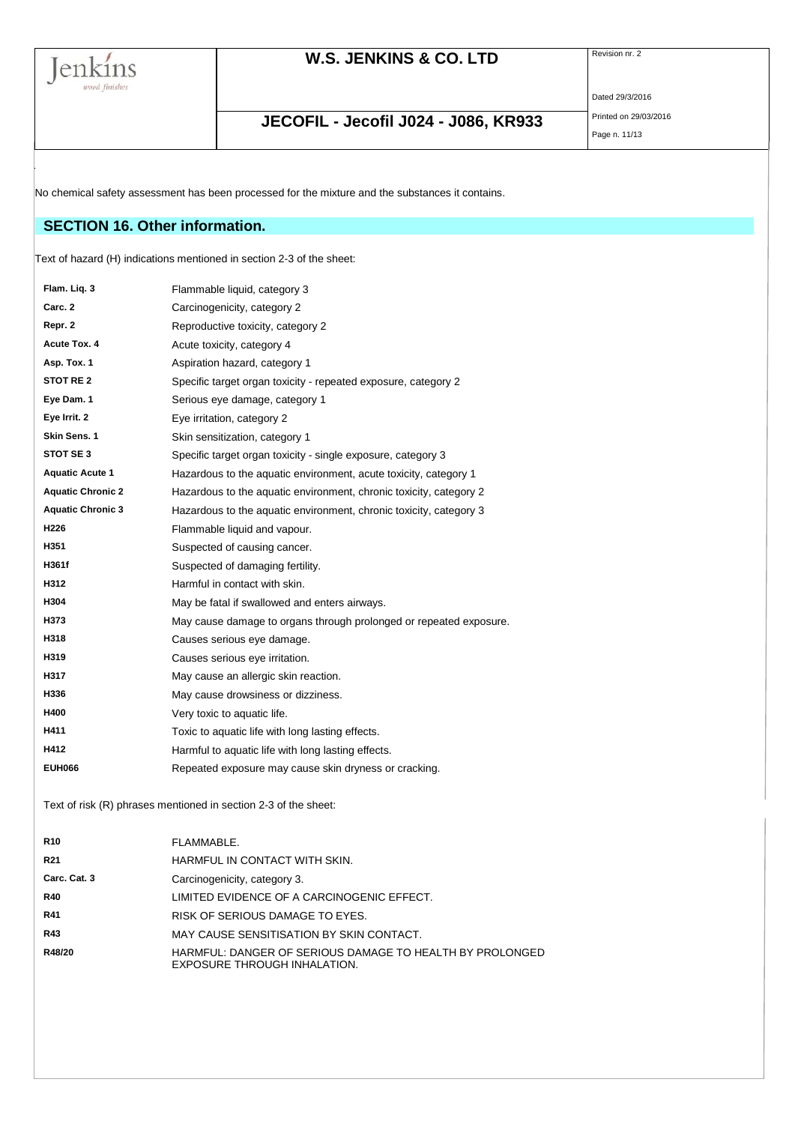

## **JECOFIL - Jecofil J024 - J086, KR933** Printed on 29/03/2016

Dated 29/3/2016

Page n. 11/13

No chemical safety assessment has been processed for the mixture and the substances it contains.

## **SECTION 16. Other information.**

Text of hazard (H) indications mentioned in section 2-3 of the sheet:

| Flam. Lig. 3             | Flammable liquid, category 3                                       |
|--------------------------|--------------------------------------------------------------------|
| Carc. 2                  | Carcinogenicity, category 2                                        |
| Repr. 2                  | Reproductive toxicity, category 2                                  |
| Acute Tox. 4             | Acute toxicity, category 4                                         |
| Asp. Tox. 1              | Aspiration hazard, category 1                                      |
| STOT RE 2                | Specific target organ toxicity - repeated exposure, category 2     |
| Eye Dam. 1               | Serious eye damage, category 1                                     |
| Eye Irrit. 2             | Eye irritation, category 2                                         |
| Skin Sens. 1             | Skin sensitization, category 1                                     |
| STOT SE3                 | Specific target organ toxicity - single exposure, category 3       |
| <b>Aquatic Acute 1</b>   | Hazardous to the aquatic environment, acute toxicity, category 1   |
| <b>Aquatic Chronic 2</b> | Hazardous to the aquatic environment, chronic toxicity, category 2 |
| <b>Aquatic Chronic 3</b> | Hazardous to the aquatic environment, chronic toxicity, category 3 |
| H <sub>226</sub>         | Flammable liquid and vapour.                                       |
| H351                     | Suspected of causing cancer.                                       |
| H361f                    | Suspected of damaging fertility.                                   |
| H312                     | Harmful in contact with skin.                                      |
| H304                     | May be fatal if swallowed and enters airways.                      |
| H373                     | May cause damage to organs through prolonged or repeated exposure. |
| H318                     | Causes serious eye damage.                                         |
| H319                     | Causes serious eye irritation.                                     |
| H317                     | May cause an allergic skin reaction.                               |
| H336                     | May cause drowsiness or dizziness.                                 |
| H400                     | Very toxic to aquatic life.                                        |
| H411                     | Toxic to aquatic life with long lasting effects.                   |
| H412                     | Harmful to aquatic life with long lasting effects.                 |
| <b>EUH066</b>            | Repeated exposure may cause skin dryness or cracking.              |

Text of risk (R) phrases mentioned in section 2-3 of the sheet:

| <b>R10</b>   | FLAMMABLE.                                                                               |
|--------------|------------------------------------------------------------------------------------------|
| <b>R21</b>   | HARMFUL IN CONTACT WITH SKIN.                                                            |
| Carc. Cat. 3 | Carcinogenicity, category 3.                                                             |
| <b>R40</b>   | LIMITED EVIDENCE OF A CARCINOGENIC EFFECT.                                               |
| <b>R41</b>   | RISK OF SERIOUS DAMAGE TO EYES.                                                          |
| <b>R43</b>   | MAY CAUSE SENSITISATION BY SKIN CONTACT.                                                 |
| R48/20       | HARMFUL: DANGER OF SERIOUS DAMAGE TO HEALTH BY PROLONGED<br>EXPOSURE THROUGH INHALATION. |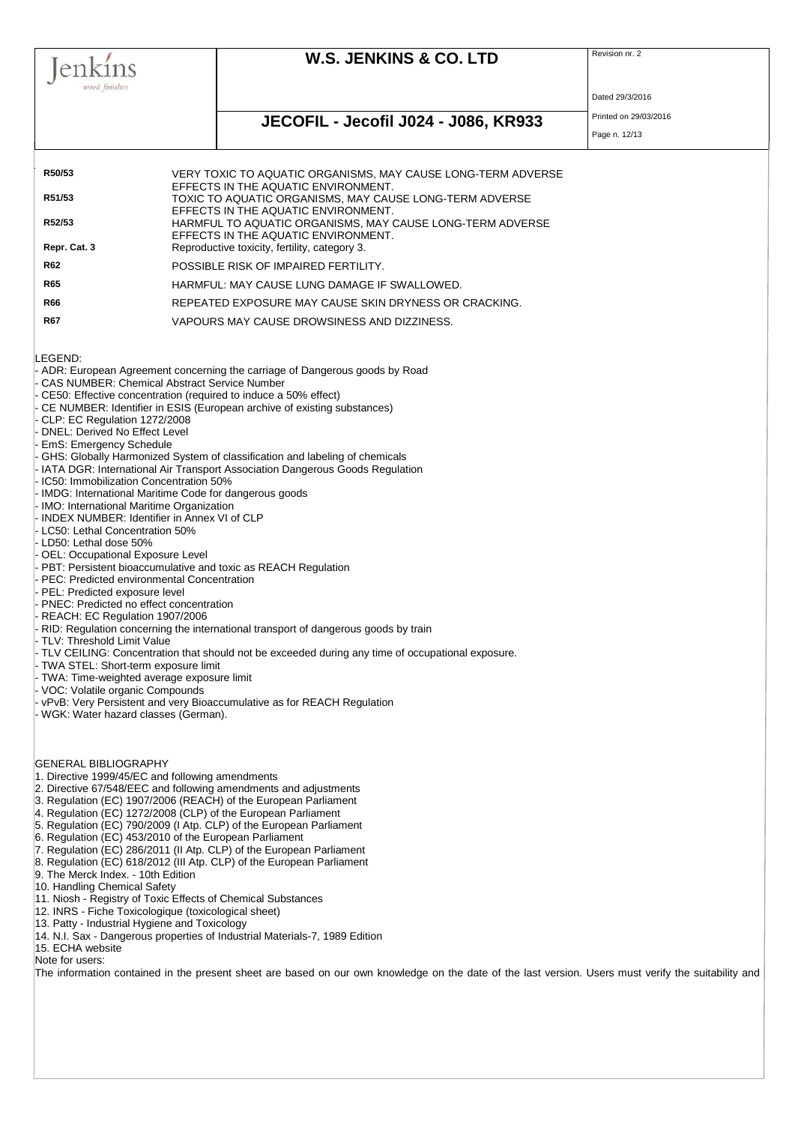| wood finishes                                                                                                                                                                                                                                                                                                                                                                                                                                                                                           |                                  |                                                                                                                                                                                                                                    |                                        |
|---------------------------------------------------------------------------------------------------------------------------------------------------------------------------------------------------------------------------------------------------------------------------------------------------------------------------------------------------------------------------------------------------------------------------------------------------------------------------------------------------------|----------------------------------|------------------------------------------------------------------------------------------------------------------------------------------------------------------------------------------------------------------------------------|----------------------------------------|
|                                                                                                                                                                                                                                                                                                                                                                                                                                                                                                         |                                  |                                                                                                                                                                                                                                    | Dated 29/3/2016                        |
|                                                                                                                                                                                                                                                                                                                                                                                                                                                                                                         |                                  | JECOFIL - Jecofil J024 - J086, KR933                                                                                                                                                                                               | Printed on 29/03/2016<br>Page n. 12/13 |
| R50/53                                                                                                                                                                                                                                                                                                                                                                                                                                                                                                  |                                  | VERY TOXIC TO AQUATIC ORGANISMS, MAY CAUSE LONG-TERM ADVERSE                                                                                                                                                                       |                                        |
|                                                                                                                                                                                                                                                                                                                                                                                                                                                                                                         |                                  | EFFECTS IN THE AQUATIC ENVIRONMENT.                                                                                                                                                                                                |                                        |
| R51/53                                                                                                                                                                                                                                                                                                                                                                                                                                                                                                  |                                  | TOXIC TO AQUATIC ORGANISMS, MAY CAUSE LONG-TERM ADVERSE<br>EFFECTS IN THE AQUATIC ENVIRONMENT.                                                                                                                                     |                                        |
| R52/53                                                                                                                                                                                                                                                                                                                                                                                                                                                                                                  |                                  | HARMFUL TO AQUATIC ORGANISMS, MAY CAUSE LONG-TERM ADVERSE                                                                                                                                                                          |                                        |
| Repr. Cat. 3                                                                                                                                                                                                                                                                                                                                                                                                                                                                                            |                                  | EFFECTS IN THE AQUATIC ENVIRONMENT.<br>Reproductive toxicity, fertility, category 3.                                                                                                                                               |                                        |
| R62                                                                                                                                                                                                                                                                                                                                                                                                                                                                                                     |                                  | POSSIBLE RISK OF IMPAIRED FERTILITY.                                                                                                                                                                                               |                                        |
| R65                                                                                                                                                                                                                                                                                                                                                                                                                                                                                                     |                                  | HARMFUL: MAY CAUSE LUNG DAMAGE IF SWALLOWED.                                                                                                                                                                                       |                                        |
| R66                                                                                                                                                                                                                                                                                                                                                                                                                                                                                                     |                                  | REPEATED EXPOSURE MAY CAUSE SKIN DRYNESS OR CRACKING.                                                                                                                                                                              |                                        |
| <b>R67</b>                                                                                                                                                                                                                                                                                                                                                                                                                                                                                              |                                  | VAPOURS MAY CAUSE DROWSINESS AND DIZZINESS.                                                                                                                                                                                        |                                        |
| - DNEL: Derived No Effect Level<br>- EmS: Emergency Schedule<br>- IC50: Immobilization Concentration 50%<br>- IMDG: International Maritime Code for dangerous goods<br>- IMO: International Maritime Organization<br>- INDEX NUMBER: Identifier in Annex VI of CLP<br>- LC50: Lethal Concentration 50%<br>- LD50: Lethal dose 50%<br>- OEL: Occupational Exposure Level<br>- PEC: Predicted environmental Concentration<br>- PEL: Predicted exposure level<br>- PNEC: Predicted no effect concentration | - REACH: EC Regulation 1907/2006 | - GHS: Globally Harmonized System of classification and labeling of chemicals<br>- IATA DGR: International Air Transport Association Dangerous Goods Regulation<br>- PBT: Persistent bioaccumulative and toxic as REACH Regulation |                                        |

- 1. Directive 1999/45/EC and following amendments
- 2. Directive 67/548/EEC and following amendments and adjustments
- 3. Regulation (EC) 1907/2006 (REACH) of the European Parliament
- 4. Regulation (EC) 1272/2008 (CLP) of the European Parliament
- 5. Regulation (EC) 790/2009 (I Atp. CLP) of the European Parliament
- 6. Regulation (EC) 453/2010 of the European Parliament
- 7. Regulation (EC) 286/2011 (II Atp. CLP) of the European Parliament
- 8. Regulation (EC) 618/2012 (III Atp. CLP) of the European Parliament
- 9. The Merck Index. 10th Edition
- 10. Handling Chemical Safety
- 11. Niosh Registry of Toxic Effects of Chemical Substances
- 12. INRS Fiche Toxicologique (toxicological sheet)
- 13. Patty Industrial Hygiene and Toxicology
- 14. N.I. Sax Dangerous properties of Industrial Materials-7, 1989 Edition
- 15. ECHA website

Note for users:

The information contained in the present sheet are based on our own knowledge on the date of the last version. Users must verify the suitability and